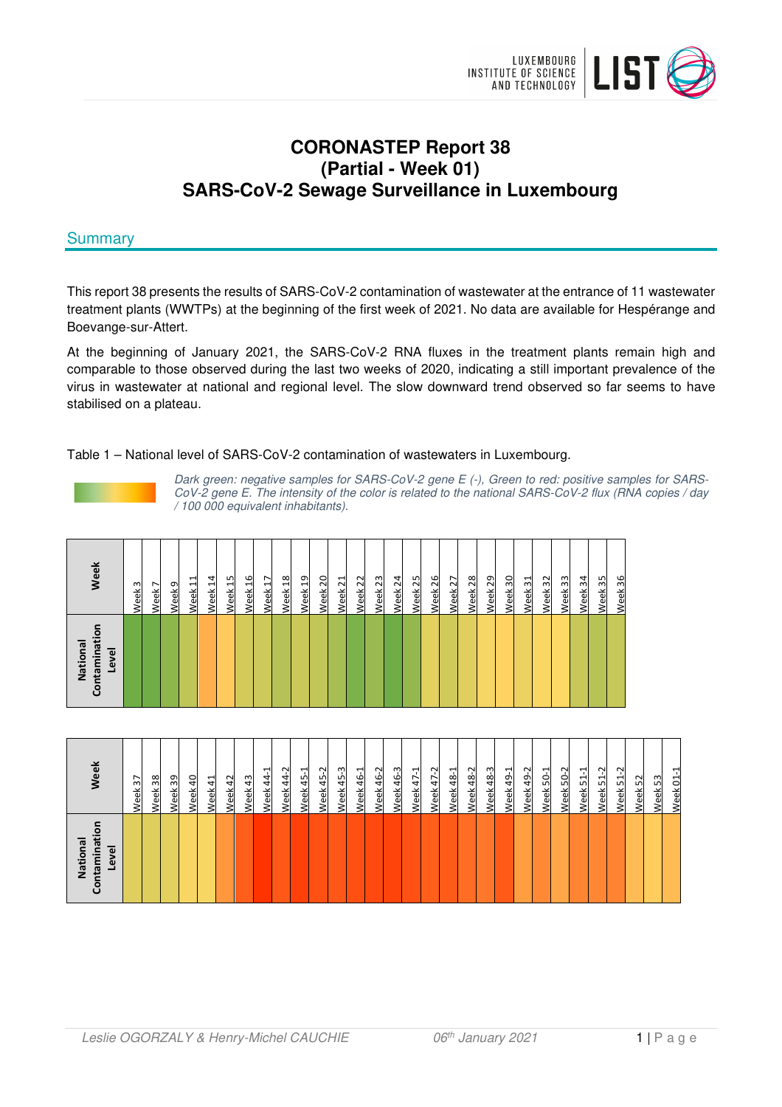

# **CORONASTEP Report 38 (Partial - Week 01) SARS-CoV-2 Sewage Surveillance in Luxembourg**

# **Summary**

This report 38 presents the results of SARS-CoV-2 contamination of wastewater at the entrance of 11 wastewater treatment plants (WWTPs) at the beginning of the first week of 2021. No data are available for Hespérange and Boevange-sur-Attert.

At the beginning of January 2021, the SARS-CoV-2 RNA fluxes in the treatment plants remain high and comparable to those observed during the last two weeks of 2020, indicating a still important prevalence of the virus in wastewater at national and regional level. The slow downward trend observed so far seems to have stabilised on a plateau.

#### Table 1 – National level of SARS-CoV-2 contamination of wastewaters in Luxembourg.



Dark green: negative samples for SARS-CoV-2 gene E (-), Green to red: positive samples for SARS-CoV-2 gene E. The intensity of the color is related to the national SARS-CoV-2 flux (RNA copies / day / 100 000 equivalent inhabitants).

| ō<br>Contaminati<br>National<br>Level | Week                    |
|---------------------------------------|-------------------------|
|                                       | $\mathsf{c}$<br>Week    |
|                                       | $\overline{ }$<br>Week  |
|                                       | Week <sub>9</sub>       |
|                                       | 님<br>Week               |
|                                       | $\overline{1}$<br>Week  |
|                                       | 15<br>Week              |
|                                       | Week 16                 |
|                                       | $\overline{1}$<br>Week  |
|                                       | $\frac{8}{2}$<br>Week   |
|                                       | Week 19                 |
|                                       | 20<br>Week              |
|                                       | Week <sub>21</sub>      |
|                                       | Week 22                 |
|                                       | Week <sub>23</sub>      |
|                                       | $\overline{2}$<br>Week  |
|                                       | Week <sub>25</sub>      |
|                                       | 26<br>Week              |
|                                       | Week 27                 |
|                                       | $\overline{28}$<br>Week |
|                                       | Week 29                 |
|                                       | ႙<br>Week               |
|                                       | Week 31                 |
|                                       | 32<br>Week              |
|                                       | Week 33                 |
|                                       | Week 34                 |
|                                       | Week 35                 |
|                                       | 36<br>Week              |

| Week 48-3<br>Week 45-3<br>ب<br>ကု<br>Week 47-2<br>Week 50-2<br>ب<br>Week 44-2<br>Ņ<br>Ņ٢<br>ب<br>Week 44-1<br>Ņ٢<br>Week 47-1<br>Week 49-1<br>Week 51-1<br>로<br><u>Week 46-1</u><br>48-1<br>$50-1$<br>ᆸ<br>46<br>\$<br>48<br>\$<br>45<br>45<br>38<br>Week 40<br>Week 51<br>37<br>43<br>$5\overline{1}$<br>39<br>42<br>Week 52<br>Week <sub>53</sub><br>$\overline{c}$<br>Week 41<br>Week:<br><b>Week</b><br>Week<br>Week<br>Week<br>Week<br><b>Week</b><br><b>Week</b><br><b>Week</b><br>Week<br>Week<br><b>Week</b><br>Week<br><b>Week</b> | Contaminati<br>National<br>Level | Week |
|---------------------------------------------------------------------------------------------------------------------------------------------------------------------------------------------------------------------------------------------------------------------------------------------------------------------------------------------------------------------------------------------------------------------------------------------------------------------------------------------------------------------------------------------|----------------------------------|------|
|                                                                                                                                                                                                                                                                                                                                                                                                                                                                                                                                             |                                  |      |
|                                                                                                                                                                                                                                                                                                                                                                                                                                                                                                                                             |                                  |      |
|                                                                                                                                                                                                                                                                                                                                                                                                                                                                                                                                             |                                  |      |
|                                                                                                                                                                                                                                                                                                                                                                                                                                                                                                                                             |                                  |      |
|                                                                                                                                                                                                                                                                                                                                                                                                                                                                                                                                             |                                  |      |
|                                                                                                                                                                                                                                                                                                                                                                                                                                                                                                                                             |                                  |      |
|                                                                                                                                                                                                                                                                                                                                                                                                                                                                                                                                             |                                  |      |
|                                                                                                                                                                                                                                                                                                                                                                                                                                                                                                                                             |                                  |      |
|                                                                                                                                                                                                                                                                                                                                                                                                                                                                                                                                             |                                  |      |
|                                                                                                                                                                                                                                                                                                                                                                                                                                                                                                                                             |                                  |      |
|                                                                                                                                                                                                                                                                                                                                                                                                                                                                                                                                             |                                  |      |
|                                                                                                                                                                                                                                                                                                                                                                                                                                                                                                                                             |                                  |      |
|                                                                                                                                                                                                                                                                                                                                                                                                                                                                                                                                             |                                  |      |
|                                                                                                                                                                                                                                                                                                                                                                                                                                                                                                                                             |                                  |      |
|                                                                                                                                                                                                                                                                                                                                                                                                                                                                                                                                             |                                  |      |
|                                                                                                                                                                                                                                                                                                                                                                                                                                                                                                                                             |                                  |      |
|                                                                                                                                                                                                                                                                                                                                                                                                                                                                                                                                             |                                  |      |
|                                                                                                                                                                                                                                                                                                                                                                                                                                                                                                                                             |                                  |      |
|                                                                                                                                                                                                                                                                                                                                                                                                                                                                                                                                             |                                  |      |
|                                                                                                                                                                                                                                                                                                                                                                                                                                                                                                                                             |                                  |      |
|                                                                                                                                                                                                                                                                                                                                                                                                                                                                                                                                             |                                  |      |
|                                                                                                                                                                                                                                                                                                                                                                                                                                                                                                                                             |                                  |      |
|                                                                                                                                                                                                                                                                                                                                                                                                                                                                                                                                             |                                  |      |
|                                                                                                                                                                                                                                                                                                                                                                                                                                                                                                                                             |                                  |      |
|                                                                                                                                                                                                                                                                                                                                                                                                                                                                                                                                             |                                  |      |
|                                                                                                                                                                                                                                                                                                                                                                                                                                                                                                                                             |                                  |      |
|                                                                                                                                                                                                                                                                                                                                                                                                                                                                                                                                             |                                  |      |
|                                                                                                                                                                                                                                                                                                                                                                                                                                                                                                                                             |                                  |      |
|                                                                                                                                                                                                                                                                                                                                                                                                                                                                                                                                             |                                  |      |
|                                                                                                                                                                                                                                                                                                                                                                                                                                                                                                                                             |                                  | Week |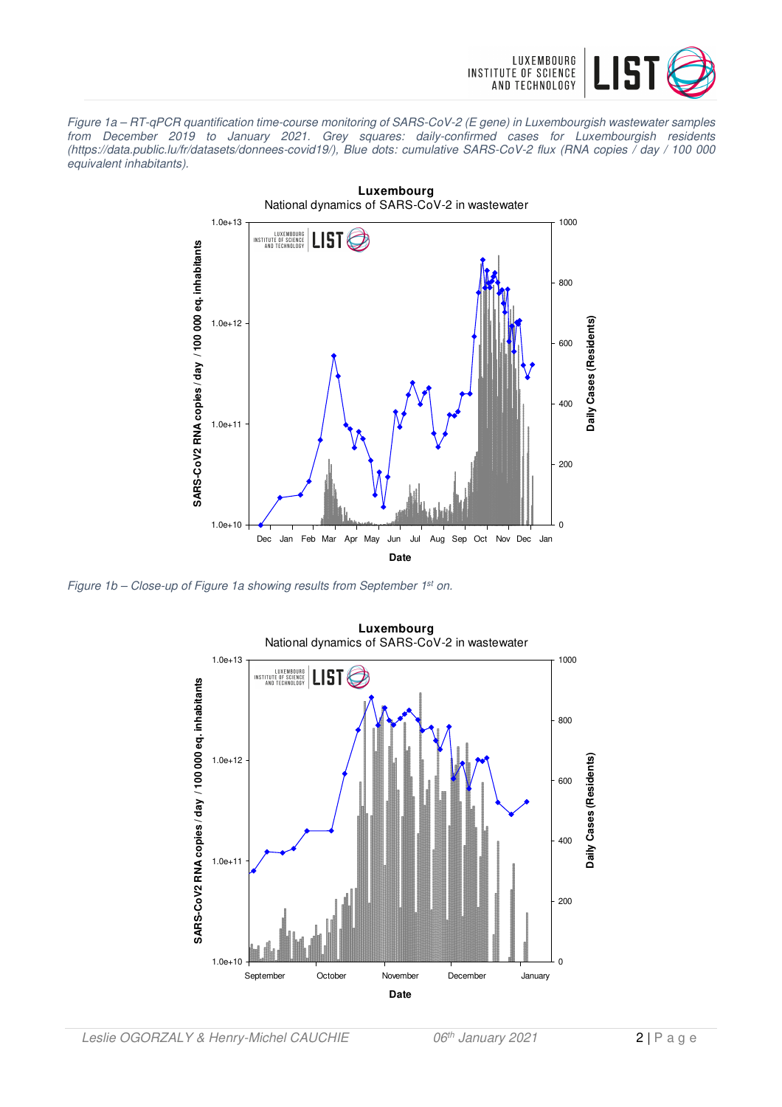

Figure 1a – RT-qPCR quantification time-course monitoring of SARS-CoV-2 (E gene) in Luxembourgish wastewater samples from December 2019 to January 2021. Grey squares: daily-confirmed cases for Luxembourgish residents (https://data.public.lu/fr/datasets/donnees-covid19/), Blue dots: cumulative SARS-CoV-2 flux (RNA copies / day / 100 000 equivalent inhabitants).



Figure 1b – Close-up of Figure 1a showing results from September 1<sup>st</sup> on.

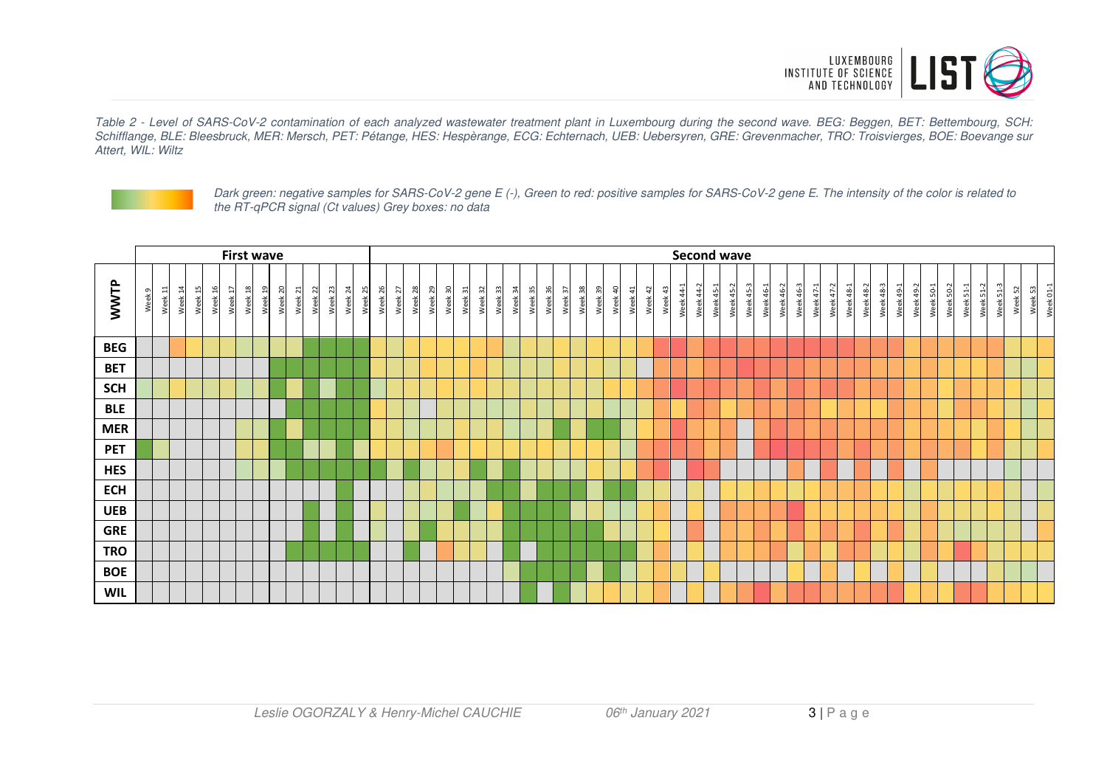

Table 2 - Level of SARS-CoV-2 contamination of each analyzed wastewater treatment plant in Luxembourg during the second wave. BEG: Beggen, BET: Bettembourg, SCH: Schifflange, BLE: Bleesbruck, MER: Mersch, PET: Pétange, HES: Hespèrange, ECG: Echternach, UEB: Uebersyren, GRE: Grevenmacher, TRO: Troisvierges, BOE: Boevange sur Attert, WIL: Wiltz



Dark green: negative samples for SARS-CoV-2 gene E (-), Green to red: positive samples for SARS-CoV-2 gene E. The intensity of the color is related to the RT-qPCR signal (Ct values) Grey boxes: no data

|             |        |         |                        |            |         |         | <b>First wave</b> |         |         |         |         |         |         |         |         |         |         |         |         |         |         |         |         |         |         |         |         |         |         |                        |         |            |           |                      | <b>Second wave</b> |           |           |           |                  |           |           |                  |           |                                 |                  |           |           |                             |           |                |                       |         |             |           |
|-------------|--------|---------|------------------------|------------|---------|---------|-------------------|---------|---------|---------|---------|---------|---------|---------|---------|---------|---------|---------|---------|---------|---------|---------|---------|---------|---------|---------|---------|---------|---------|------------------------|---------|------------|-----------|----------------------|--------------------|-----------|-----------|-----------|------------------|-----------|-----------|------------------|-----------|---------------------------------|------------------|-----------|-----------|-----------------------------|-----------|----------------|-----------------------|---------|-------------|-----------|
| <b>WWTP</b> | Week 9 | Week 11 | $\overline{1}$<br>Week | 15<br>Week | Week 16 | Week 17 | Week 18           | Week 19 | Week 20 | Week 21 | Week 22 | Week 23 | Week 24 | Week 25 | Week 26 | Week 27 | Week 28 | Week 29 | Week 30 | Week 31 | Week 32 | Week 33 | Week 34 | Week 35 | Week 36 | Week 37 | Week 38 | Week 39 | Week 40 | $\frac{4}{4}$<br>Week. | Week 42 | 43<br>Week | Week 44-1 | $\sim$<br>\$<br>Week | Week 45-1          | Week 45-2 | Week 45-3 | Week 46-1 | $46 - 2$<br>Week | Week 46-3 | Week 47-1 | $47 - 2$<br>Week | Week 48-1 | $\sim$<br>$\frac{8}{4}$<br>Week | <b>Week 48-3</b> | Week 49-1 | Week 49-2 | Week 50-1<br>$50-2$<br>Week | Week 51-1 | $51-2$<br>Week | $\alpha$<br>5<br>Week | Week 52 | 53<br>Week! | Week 01-1 |
| <b>BEG</b>  |        |         |                        |            |         |         |                   |         |         |         |         |         |         |         |         |         |         |         |         |         |         |         |         |         |         |         |         |         |         |                        |         |            |           |                      |                    |           |           |           |                  |           |           |                  |           |                                 |                  |           |           |                             |           |                |                       |         |             |           |
| <b>BET</b>  |        |         |                        |            |         |         |                   |         |         |         |         |         |         |         |         |         |         |         |         |         |         |         |         |         |         |         |         |         |         |                        |         |            |           |                      |                    |           |           |           |                  |           |           |                  |           |                                 |                  |           |           |                             |           |                |                       |         |             |           |
| <b>SCH</b>  |        |         |                        |            |         |         |                   |         |         |         |         |         |         |         |         |         |         |         |         |         |         |         |         |         |         |         |         |         |         |                        |         |            |           |                      |                    |           |           |           |                  |           |           |                  |           |                                 |                  |           |           |                             |           |                |                       |         |             |           |
| <b>BLE</b>  |        |         |                        |            |         |         |                   |         |         |         |         |         |         |         |         |         |         |         |         |         |         |         |         |         |         |         |         |         |         |                        |         |            |           |                      |                    |           |           |           |                  |           |           |                  |           |                                 |                  |           |           |                             |           |                |                       |         |             |           |
| <b>MER</b>  |        |         |                        |            |         |         |                   |         |         |         |         |         |         |         |         |         |         |         |         |         |         |         |         |         |         |         |         |         |         |                        |         |            |           |                      |                    |           |           |           |                  |           |           |                  |           |                                 |                  |           |           |                             |           |                |                       |         |             |           |
| <b>PET</b>  |        |         |                        |            |         |         |                   |         |         |         |         |         |         |         |         |         |         |         |         |         |         |         |         |         |         |         |         |         |         |                        |         |            |           |                      |                    |           |           |           |                  |           |           |                  |           |                                 |                  |           |           |                             |           |                |                       |         |             |           |
| <b>HES</b>  |        |         |                        |            |         |         |                   |         |         |         |         |         |         |         |         |         |         |         |         |         |         |         |         |         |         |         |         |         |         |                        |         |            |           |                      |                    |           |           |           |                  |           |           |                  |           |                                 |                  |           |           |                             |           |                |                       |         |             |           |
| <b>ECH</b>  |        |         |                        |            |         |         |                   |         |         |         |         |         |         |         |         |         |         |         |         |         |         |         |         |         |         |         |         |         |         |                        |         |            |           |                      |                    |           |           |           |                  |           |           |                  |           |                                 |                  |           |           |                             |           |                |                       |         |             |           |
| <b>UEB</b>  |        |         |                        |            |         |         |                   |         |         |         |         |         |         |         |         |         |         |         |         |         |         |         |         |         |         |         |         |         |         |                        |         |            |           |                      |                    |           |           |           |                  |           |           |                  |           |                                 |                  |           |           |                             |           |                |                       |         |             |           |
| <b>GRE</b>  |        |         |                        |            |         |         |                   |         |         |         |         |         |         |         |         |         |         |         |         |         |         |         |         |         |         |         |         |         |         |                        |         |            |           |                      |                    |           |           |           |                  |           |           |                  |           |                                 |                  |           |           |                             |           |                |                       |         |             |           |
| <b>TRO</b>  |        |         |                        |            |         |         |                   |         |         |         |         |         |         |         |         |         |         |         |         |         |         |         |         |         |         |         |         |         |         |                        |         |            |           |                      |                    |           |           |           |                  |           |           |                  |           |                                 |                  |           |           |                             |           |                |                       |         |             |           |
| <b>BOE</b>  |        |         |                        |            |         |         |                   |         |         |         |         |         |         |         |         |         |         |         |         |         |         |         |         |         |         |         |         |         |         |                        |         |            |           |                      |                    |           |           |           |                  |           |           |                  |           |                                 |                  |           |           |                             |           |                |                       |         |             |           |
| <b>WIL</b>  |        |         |                        |            |         |         |                   |         |         |         |         |         |         |         |         |         |         |         |         |         |         |         |         |         |         |         |         |         |         |                        |         |            |           |                      |                    |           |           |           |                  |           |           |                  |           |                                 |                  |           |           |                             |           |                |                       |         |             |           |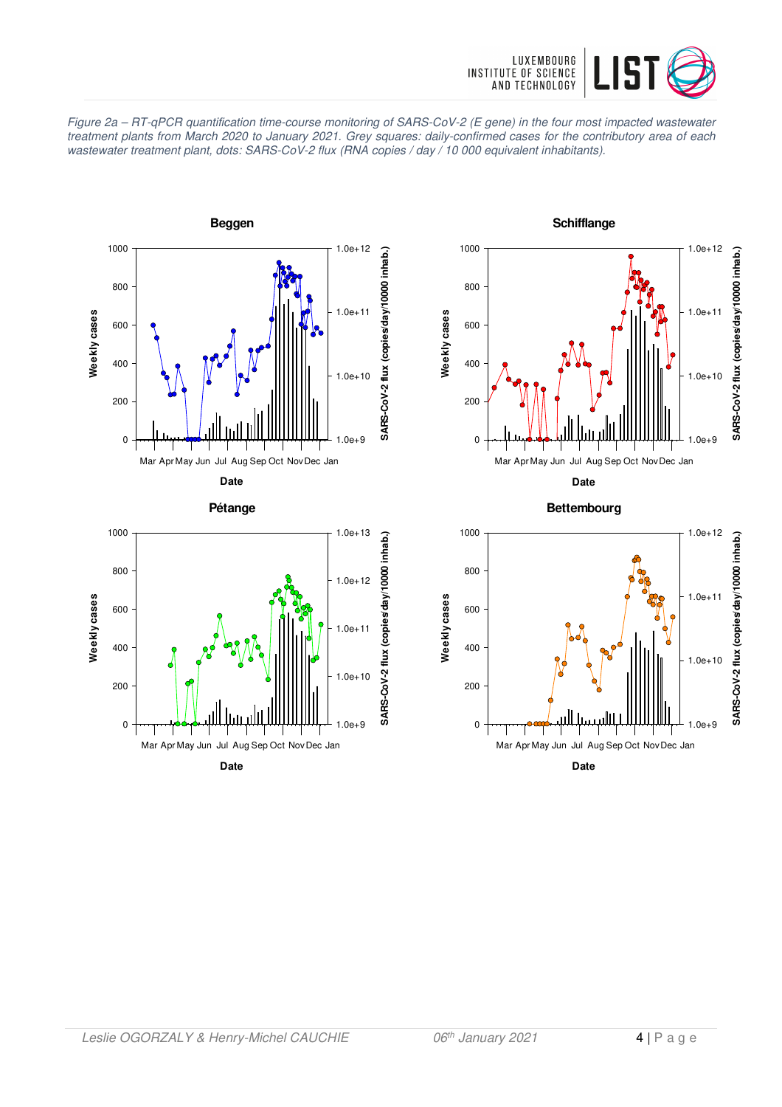

Figure 2a – RT-qPCR quantification time-course monitoring of SARS-CoV-2 (E gene) in the four most impacted wastewater treatment plants from March 2020 to January 2021. Grey squares: daily-confirmed cases for the contributory area of each wastewater treatment plant, dots: SARS-CoV-2 flux (RNA copies / day / 10 000 equivalent inhabitants).









**Date**

**Bettembourg**

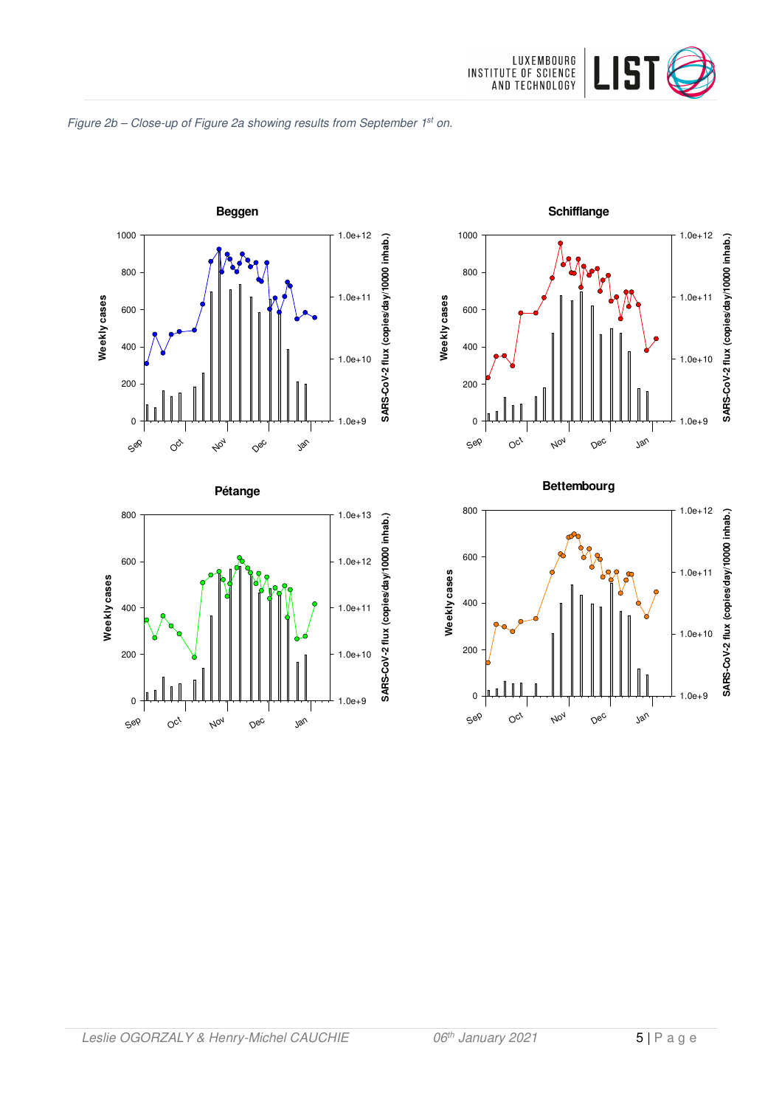

#### Figure 2b - Close-up of Figure 2a showing results from September 1st on.







#### **Bettembourg**

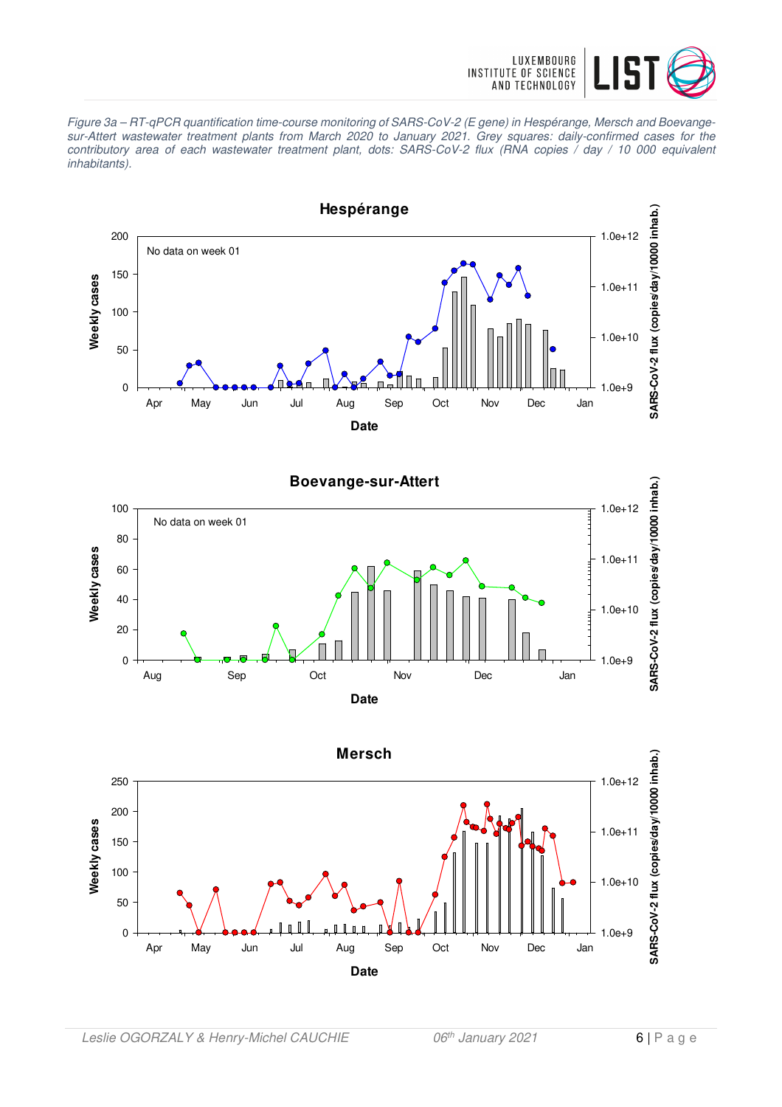

Figure 3a – RT-qPCR quantification time-course monitoring of SARS-CoV-2 (E gene) in Hespérange, Mersch and Boevangesur-Attert wastewater treatment plants from March 2020 to January 2021. Grey squares: daily-confirmed cases for the contributory area of each wastewater treatment plant, dots: SARS-CoV-2 flux (RNA copies / day / 10 000 equivalent inhabitants).





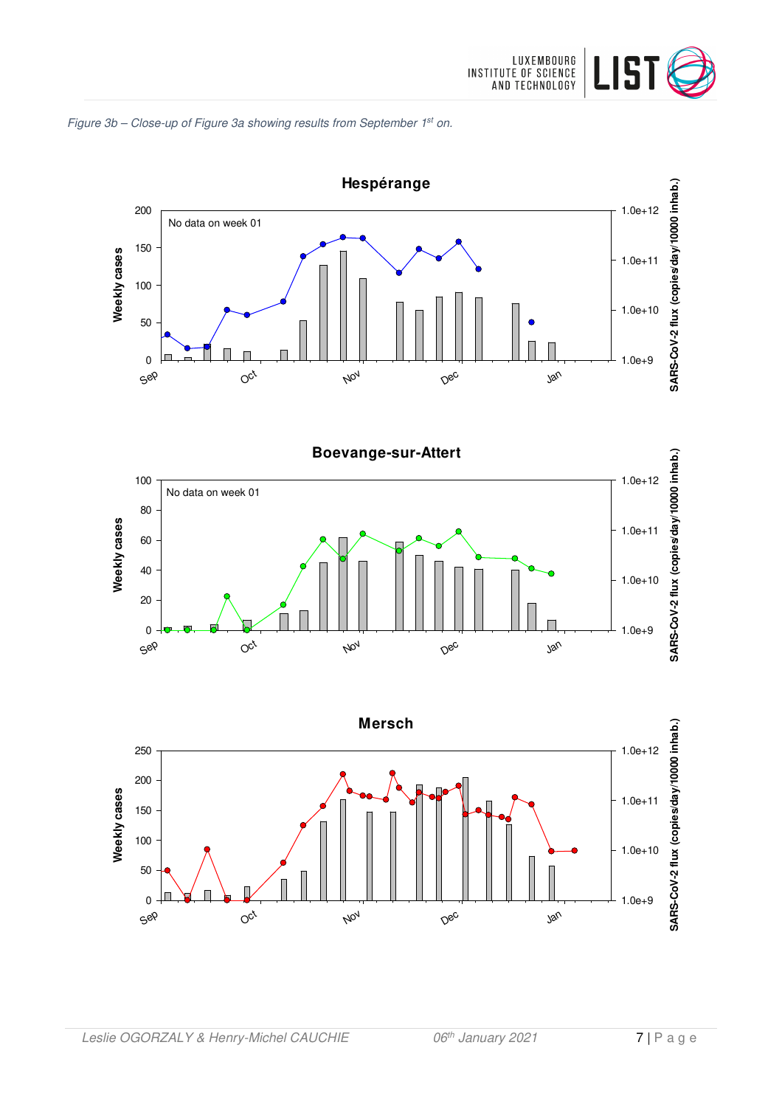







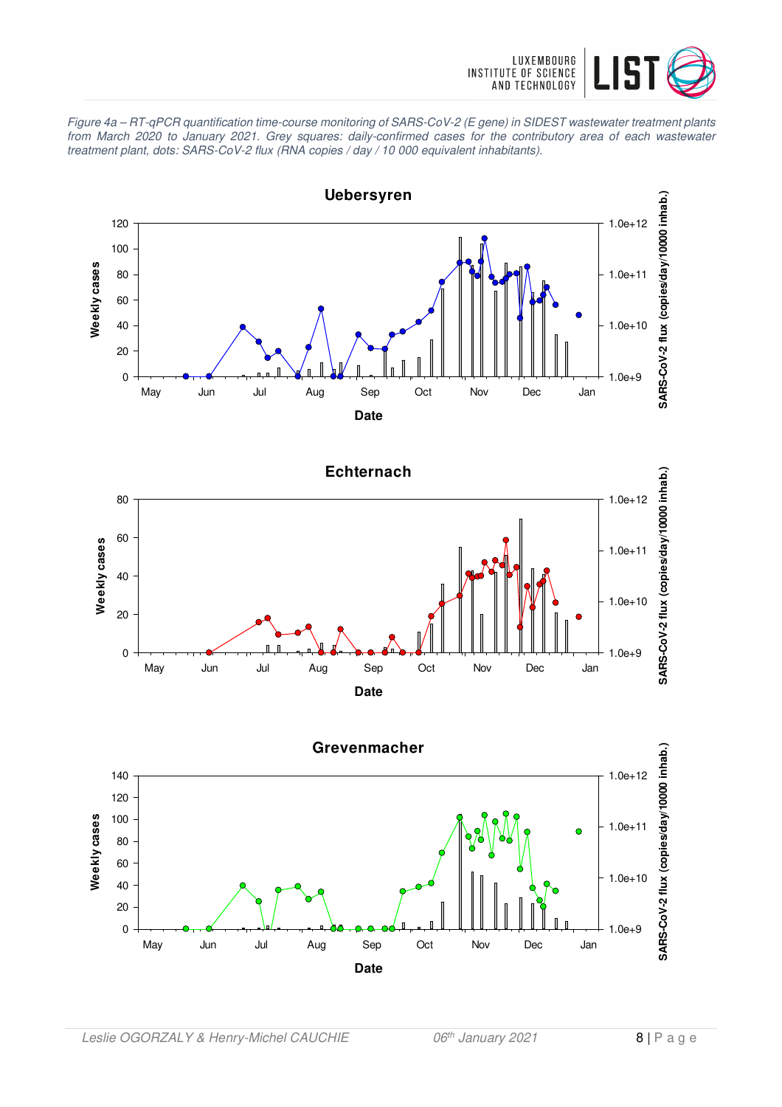

Figure 4a – RT-qPCR quantification time-course monitoring of SARS-CoV-2 (E gene) in SIDEST wastewater treatment plants from March 2020 to January 2021. Grey squares: daily-confirmed cases for the contributory area of each wastewater treatment plant, dots: SARS-CoV-2 flux (RNA copies / day / 10 000 equivalent inhabitants).

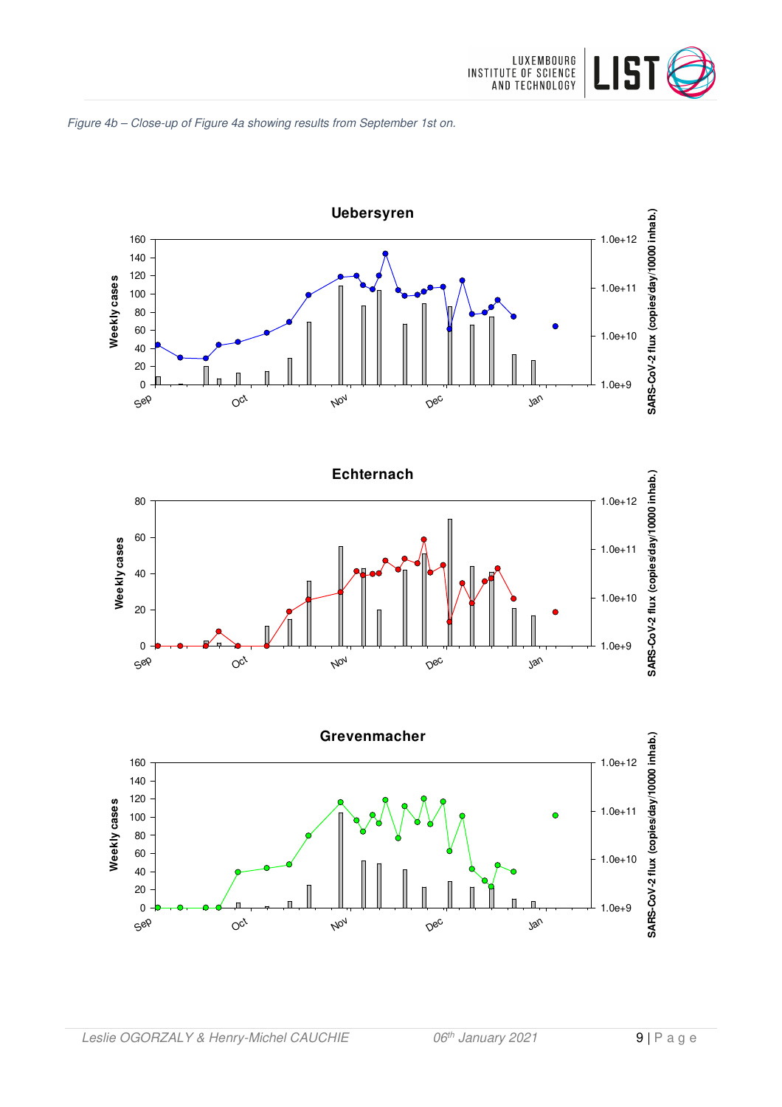







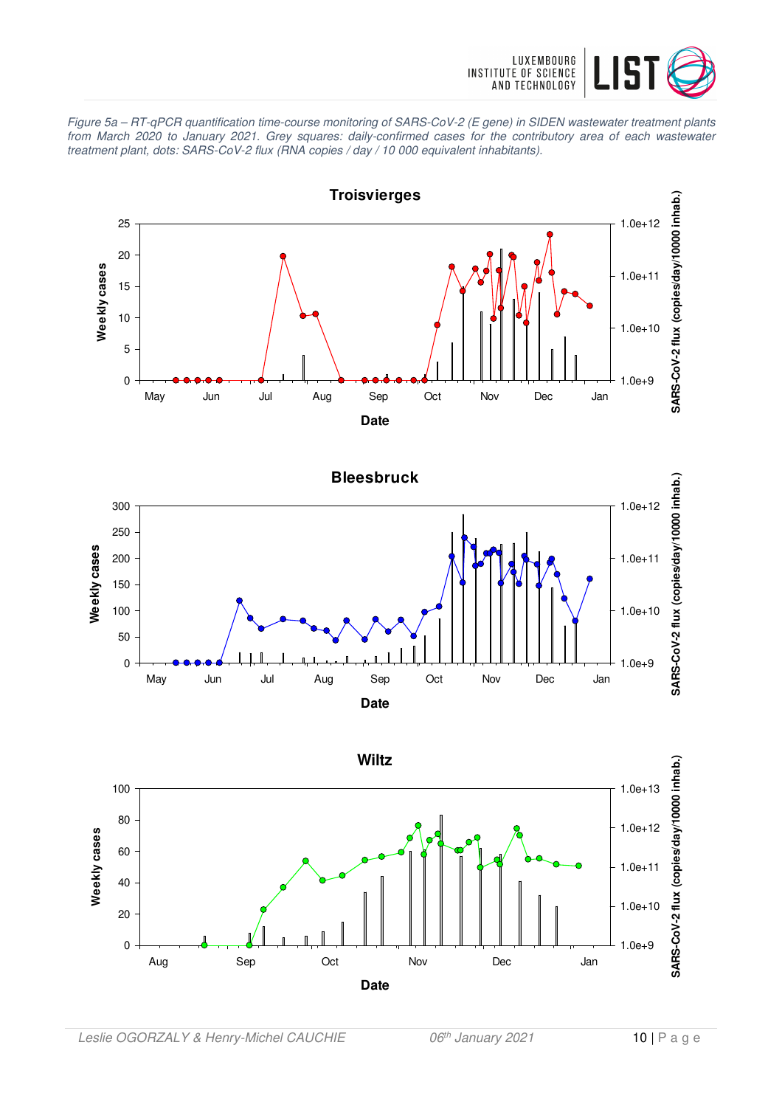

Figure 5a – RT-qPCR quantification time-course monitoring of SARS-CoV-2 (E gene) in SIDEN wastewater treatment plants from March 2020 to January 2021. Grey squares: daily-confirmed cases for the contributory area of each wastewater treatment plant, dots: SARS-CoV-2 flux (RNA copies / day / 10 000 equivalent inhabitants).



**Date**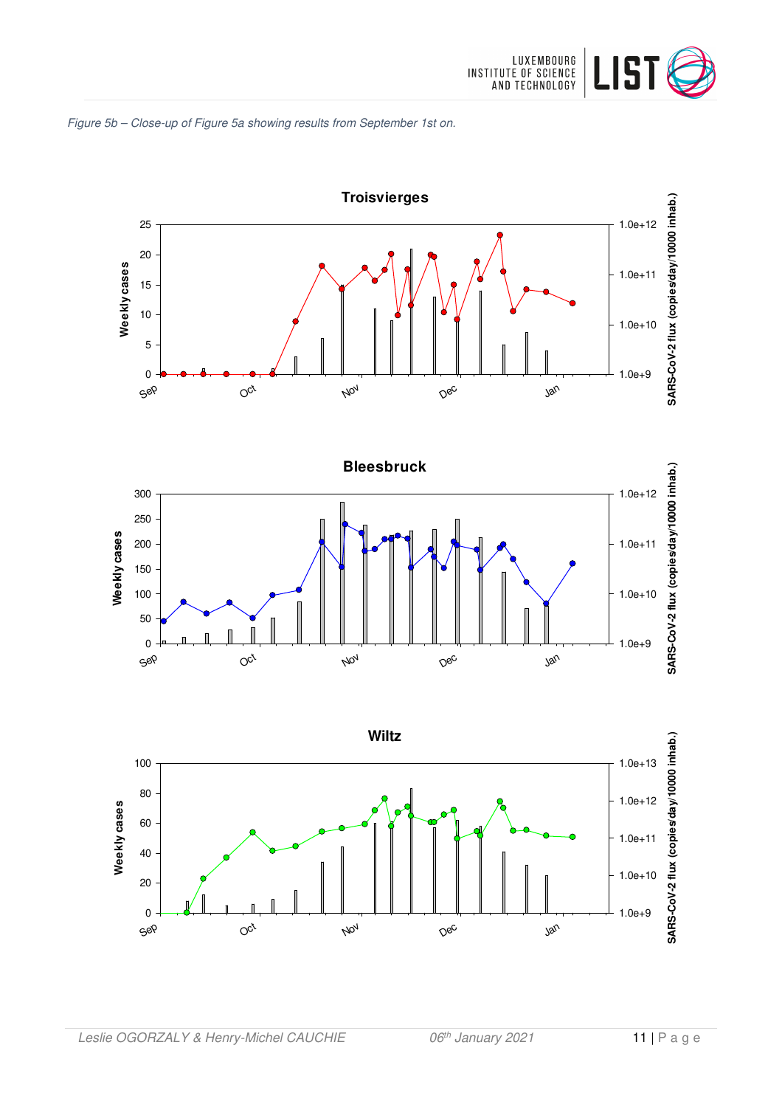





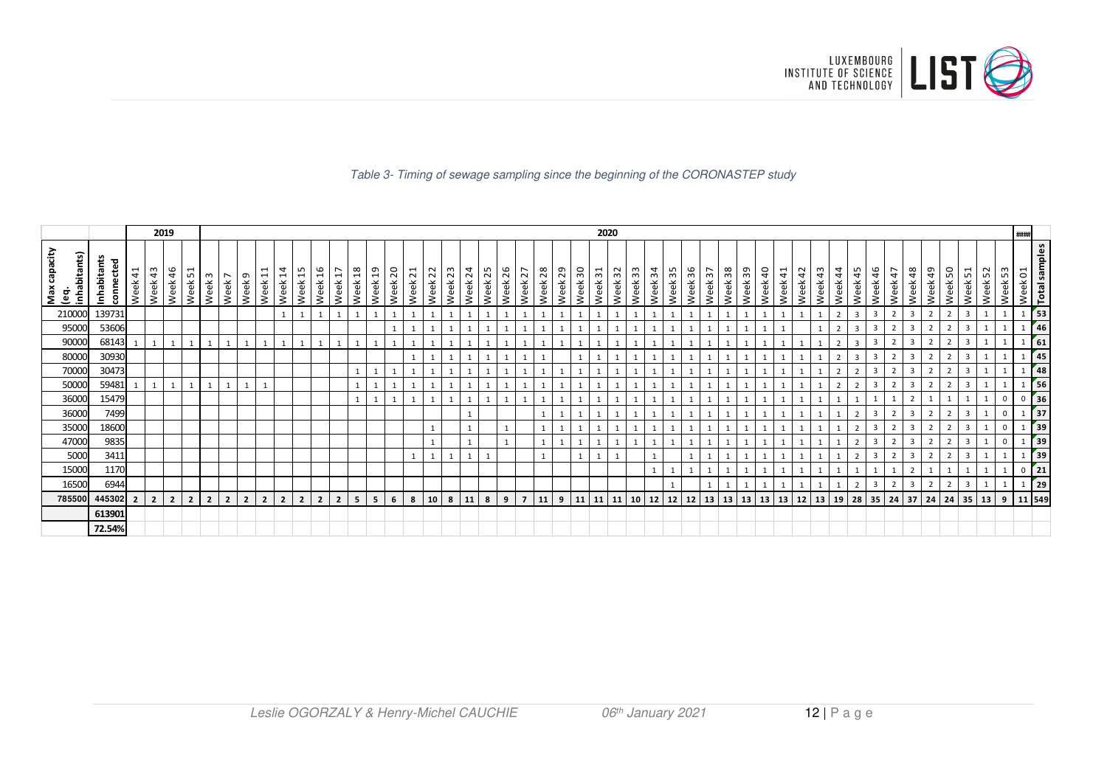

#### Table 3- Timing of sewage sampling since the beginning of the CORONASTEP study

|                                                         |                                 |                | 2019           |                |                             |                |                |                |                        |                    |                |                                              |                    |         |                         |         |                    |         |         |                    |                |            |                    |         | 2020               |                                  |    |                       |         |         |         |              |        |         |         |            |                          |                |                         |         |                         |                    |         |                         |                     |         | ####                                       |
|---------------------------------------------------------|---------------------------------|----------------|----------------|----------------|-----------------------------|----------------|----------------|----------------|------------------------|--------------------|----------------|----------------------------------------------|--------------------|---------|-------------------------|---------|--------------------|---------|---------|--------------------|----------------|------------|--------------------|---------|--------------------|----------------------------------|----|-----------------------|---------|---------|---------|--------------|--------|---------|---------|------------|--------------------------|----------------|-------------------------|---------|-------------------------|--------------------|---------|-------------------------|---------------------|---------|--------------------------------------------|
| capacity<br>inhabitants)<br>Max<br>$\tilde{\mathbf{e}}$ | చ<br>ᅙ<br>Inhabitan<br>connecte | Week 41        | Week 43        | 46<br>Week     | Week 51<br>$\omega$<br>Week | Week 7         | Week 9         | Week 11        | $\overline{1}$<br>Week | Week <sub>15</sub> | Week 16        | Week <sub>18</sub><br>$\overline{1}$<br>Week | Week <sub>19</sub> | Week 20 | $\overline{21}$<br>Week | Week 22 | Week <sub>23</sub> | Week 24 | Week 25 | Week <sub>26</sub> | 27<br>Week:    | 28<br>Week | Week <sub>29</sub> | Week 30 | Week <sub>31</sub> | Week <sub>33</sub><br>32<br>Week |    | Week 34<br>35<br>Week | Week 36 | Week 37 | Week 38 | Week 39      | Week40 | Week 41 | Week 42 | 43<br>Week | Week 44                  | Week 45        | Week 46                 | Week 47 | Week 48                 | 49<br>Week         | Week 50 | Week 51                 | $\sim$<br>S<br>Week | Week 53 | <b>Total samples</b><br>Week <sub>01</sub> |
| 210000                                                  | 139731                          |                |                |                |                             |                |                |                |                        |                    |                |                                              |                    |         |                         |         |                    |         |         |                    |                |            |                    |         |                    |                                  |    |                       |         |         |         |              |        |         |         |            | $\overline{2}$           | $\overline{3}$ | $\overline{\mathbf{3}}$ |         | 3                       | $\overline{2}$     |         | $\overline{\mathbf{3}}$ |                     |         | 53                                         |
| 95000                                                   | 53606                           |                |                |                |                             |                |                |                |                        |                    |                |                                              |                    |         |                         |         |                    |         |         |                    |                |            |                    |         |                    |                                  |    |                       |         |         |         |              |        |         |         |            |                          | 3              |                         |         | $\overline{\mathbf{3}}$ |                    |         | $\overline{\mathbf{3}}$ |                     |         | 46                                         |
| 90000                                                   | 68143                           |                |                |                |                             | $\mathbf{1}$   |                | $\mathbf{1}$   |                        |                    |                | $\mathbf{1}$                                 |                    |         |                         |         |                    |         |         |                    |                |            |                    |         |                    |                                  |    |                       |         |         |         |              |        |         |         |            |                          | $\overline{3}$ | $\overline{3}$          |         | $\overline{3}$          | $\mathbf{\hat{z}}$ |         | $\overline{3}$          |                     |         | 61                                         |
| 80000                                                   | 30930                           |                |                |                |                             |                |                |                |                        |                    |                |                                              |                    |         |                         |         |                    |         |         |                    |                |            |                    |         |                    |                                  |    |                       |         |         |         |              |        |         |         |            |                          | $\overline{3}$ |                         |         | 3                       |                    |         | $\overline{\mathbf{3}}$ |                     |         | 45                                         |
| 70000                                                   | 30473                           |                |                |                |                             |                |                |                |                        |                    |                |                                              |                    |         |                         |         |                    |         |         |                    |                |            |                    |         |                    |                                  |    |                       |         |         |         |              |        |         |         |            |                          | $\mathcal{D}$  |                         |         | 3                       |                    |         | $\overline{\mathbf{3}}$ |                     |         | 48                                         |
| 50000                                                   | 59481                           |                |                |                |                             | $\overline{ }$ |                | $\mathbf{1}$   |                        |                    |                |                                              |                    |         |                         |         |                    |         |         |                    |                |            |                    |         |                    |                                  |    |                       |         |         |         |              |        |         |         |            | $\overline{\phantom{a}}$ | $\mathcal{L}$  | ्र                      |         | $\overline{3}$          | $\overline{2}$     |         | $\overline{3}$          |                     |         | 56                                         |
| 36000                                                   | 15479                           |                |                |                |                             |                |                |                |                        |                    |                |                                              |                    |         |                         |         |                    |         |         |                    |                |            |                    |         |                    |                                  |    |                       |         |         |         |              |        |         |         |            |                          |                |                         |         |                         |                    |         |                         |                     |         | 36<br>$^{\circ}$                           |
| 36000                                                   | 7499                            |                |                |                |                             |                |                |                |                        |                    |                |                                              |                    |         |                         |         |                    |         |         |                    |                |            |                    |         |                    |                                  |    |                       |         |         |         |              |        |         |         |            |                          | $\overline{2}$ |                         |         | $\overline{3}$          |                    |         | $\overline{\mathbf{3}}$ |                     |         | 37                                         |
| 35000                                                   | 18600                           |                |                |                |                             |                |                |                |                        |                    |                |                                              |                    |         |                         |         |                    |         |         |                    |                |            |                    |         |                    |                                  |    |                       |         |         |         |              |        |         |         |            |                          | $\mathcal{P}$  |                         |         | $\overline{\mathbf{3}}$ |                    |         | $\overline{\mathbf{3}}$ |                     |         | 39                                         |
| 47000                                                   | 9835                            |                |                |                |                             |                |                |                |                        |                    |                |                                              |                    |         |                         |         |                    |         |         |                    |                |            |                    |         |                    |                                  |    |                       |         |         |         |              |        |         |         |            |                          | $\mathcal{L}$  |                         |         | $\overline{\mathbf{3}}$ |                    |         | $\overline{\mathbf{3}}$ |                     |         | 39                                         |
| 5000                                                    | 3411                            |                |                |                |                             |                |                |                |                        |                    |                |                                              |                    |         |                         |         |                    |         |         |                    |                |            |                    |         |                    |                                  |    |                       |         |         |         |              |        |         |         |            |                          | $\overline{2}$ | 3                       |         | 3                       |                    |         | $\overline{\mathbf{3}}$ |                     |         | 39                                         |
| 15000                                                   | 1170                            |                |                |                |                             |                |                |                |                        |                    |                |                                              |                    |         |                         |         |                    |         |         |                    |                |            |                    |         |                    |                                  |    |                       |         |         |         |              |        |         |         |            |                          |                |                         |         | $\overline{2}$          |                    |         |                         |                     |         | 21                                         |
| 16500                                                   | 6944                            |                |                |                |                             |                |                |                |                        |                    |                |                                              |                    |         |                         |         |                    |         |         |                    |                |            |                    |         |                    |                                  |    |                       |         |         |         |              |        |         |         |            |                          | $\mathcal{P}$  | $\overline{3}$          |         | $\overline{3}$          |                    |         | $\overline{\mathbf{3}}$ |                     |         | 29                                         |
| 785500                                                  | 445302                          | $\overline{2}$ | $\overline{2}$ | $\overline{2}$ | $\overline{2}$              | $\overline{2}$ | $\overline{2}$ | $\overline{2}$ | $\overline{2}$         | $\overline{2}$     | $\overline{2}$ | 5<br>$\overline{2}$                          | 5                  | 6       | 8                       | 10      | 8                  | 11      | 8       | 9                  | $\overline{7}$ | 11         | 9                  | 11      | 11   11            | 10                               | 12 | 12                    | 12      | 13      | 13      | $13 \mid 13$ |        | 13      | $12$ 13 |            | 19                       | 28 35          |                         | 24      | 37                      | 24                 | 24      | $35$ 13                 |                     | 9       | 11 549                                     |
|                                                         | 613901                          |                |                |                |                             |                |                |                |                        |                    |                |                                              |                    |         |                         |         |                    |         |         |                    |                |            |                    |         |                    |                                  |    |                       |         |         |         |              |        |         |         |            |                          |                |                         |         |                         |                    |         |                         |                     |         |                                            |
|                                                         | 72.54%                          |                |                |                |                             |                |                |                |                        |                    |                |                                              |                    |         |                         |         |                    |         |         |                    |                |            |                    |         |                    |                                  |    |                       |         |         |         |              |        |         |         |            |                          |                |                         |         |                         |                    |         |                         |                     |         |                                            |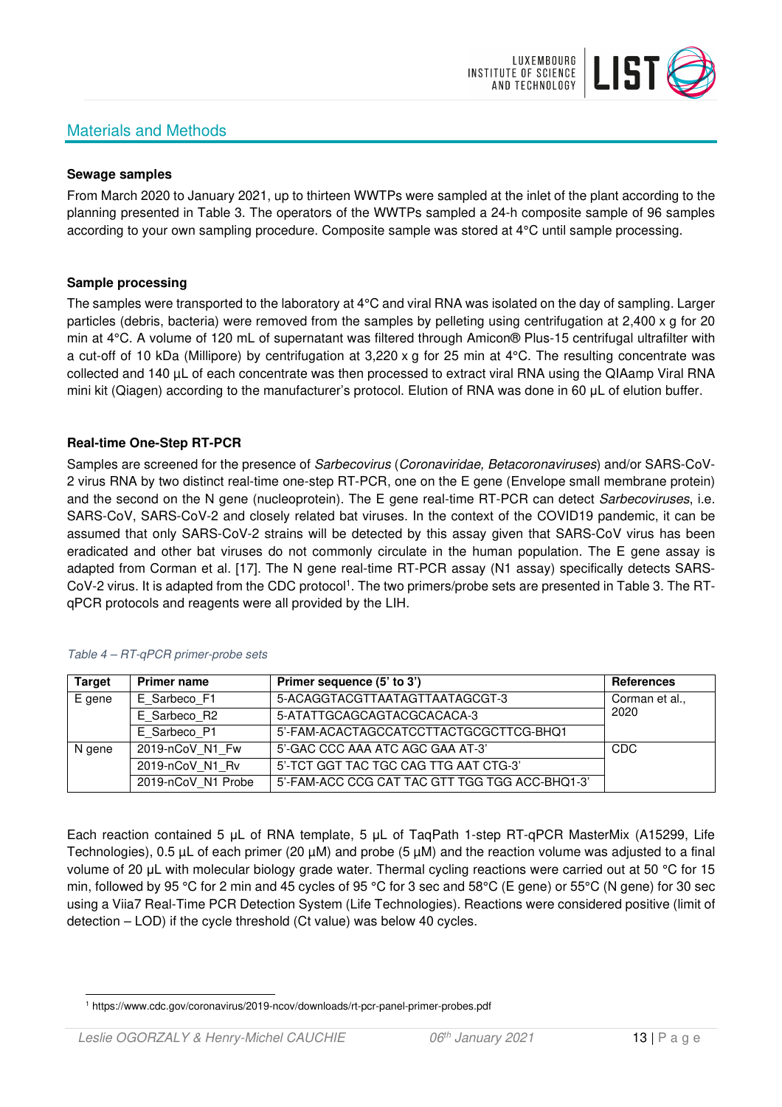# Materials and Methods



#### **Sewage samples**

From March 2020 to January 2021, up to thirteen WWTPs were sampled at the inlet of the plant according to the planning presented in Table 3. The operators of the WWTPs sampled a 24-h composite sample of 96 samples according to your own sampling procedure. Composite sample was stored at 4°C until sample processing.

## **Sample processing**

The samples were transported to the laboratory at 4°C and viral RNA was isolated on the day of sampling. Larger particles (debris, bacteria) were removed from the samples by pelleting using centrifugation at 2,400 x g for 20 min at 4°C. A volume of 120 mL of supernatant was filtered through Amicon® Plus-15 centrifugal ultrafilter with a cut-off of 10 kDa (Millipore) by centrifugation at 3,220 x g for 25 min at 4°C. The resulting concentrate was collected and 140 µL of each concentrate was then processed to extract viral RNA using the QIAamp Viral RNA mini kit (Qiagen) according to the manufacturer's protocol. Elution of RNA was done in 60 μL of elution buffer.

## **Real-time One-Step RT-PCR**

Samples are screened for the presence of *Sarbecovirus (Coronaviridae, Betacoronaviruses*) and/or SARS-CoV-2 virus RNA by two distinct real-time one-step RT-PCR, one on the E gene (Envelope small membrane protein) and the second on the N gene (nucleoprotein). The E gene real-time RT-PCR can detect Sarbecoviruses, i.e. SARS-CoV, SARS-CoV-2 and closely related bat viruses. In the context of the COVID19 pandemic, it can be assumed that only SARS-CoV-2 strains will be detected by this assay given that SARS-CoV virus has been eradicated and other bat viruses do not commonly circulate in the human population. The E gene assay is adapted from Corman et al. [17]. The N gene real-time RT-PCR assay (N1 assay) specifically detects SARS-CoV-2 virus. It is adapted from the CDC protocol<sup>1</sup>. The two primers/probe sets are presented in Table 3. The RTqPCR protocols and reagents were all provided by the LIH.

| <b>Target</b> | <b>Primer name</b> | Primer sequence (5' to 3')                     | <b>References</b> |
|---------------|--------------------|------------------------------------------------|-------------------|
| E gene        | E Sarbeco F1       | 5-ACAGGTACGTTAATAGTTAATAGCGT-3                 | Corman et al.,    |
|               | E Sarbeco R2       | 5-ATATTGCAGCAGTACGCACACA-3                     | 2020              |
|               | E Sarbeco P1       | 5'-FAM-ACACTAGCCATCCTTACTGCGCTTCG-BHQ1         |                   |
| N gene        | 2019-nCoV N1 Fw    | 5'-GAC CCC AAA ATC AGC GAA AT-3'               | CDC               |
|               | 2019-nCoV N1 Rv    | 5'-TCT GGT TAC TGC CAG TTG AAT CTG-3'          |                   |
|               | 2019-nCoV N1 Probe | 5'-FAM-ACC CCG CAT TAC GTT TGG TGG ACC-BHQ1-3' |                   |

#### Table 4 – RT-qPCR primer-probe sets

Each reaction contained 5 μL of RNA template, 5 μL of TaqPath 1-step RT-qPCR MasterMix (A15299, Life Technologies), 0.5 µL of each primer (20 µM) and probe (5 µM) and the reaction volume was adjusted to a final volume of 20 μL with molecular biology grade water. Thermal cycling reactions were carried out at 50 °C for 15 min, followed by 95 °C for 2 min and 45 cycles of 95 °C for 3 sec and 58°C (E gene) or 55°C (N gene) for 30 sec using a Viia7 Real-Time PCR Detection System (Life Technologies). Reactions were considered positive (limit of detection – LOD) if the cycle threshold (Ct value) was below 40 cycles.

<sup>1</sup> https://www.cdc.gov/coronavirus/2019-ncov/downloads/rt-pcr-panel-primer-probes.pdf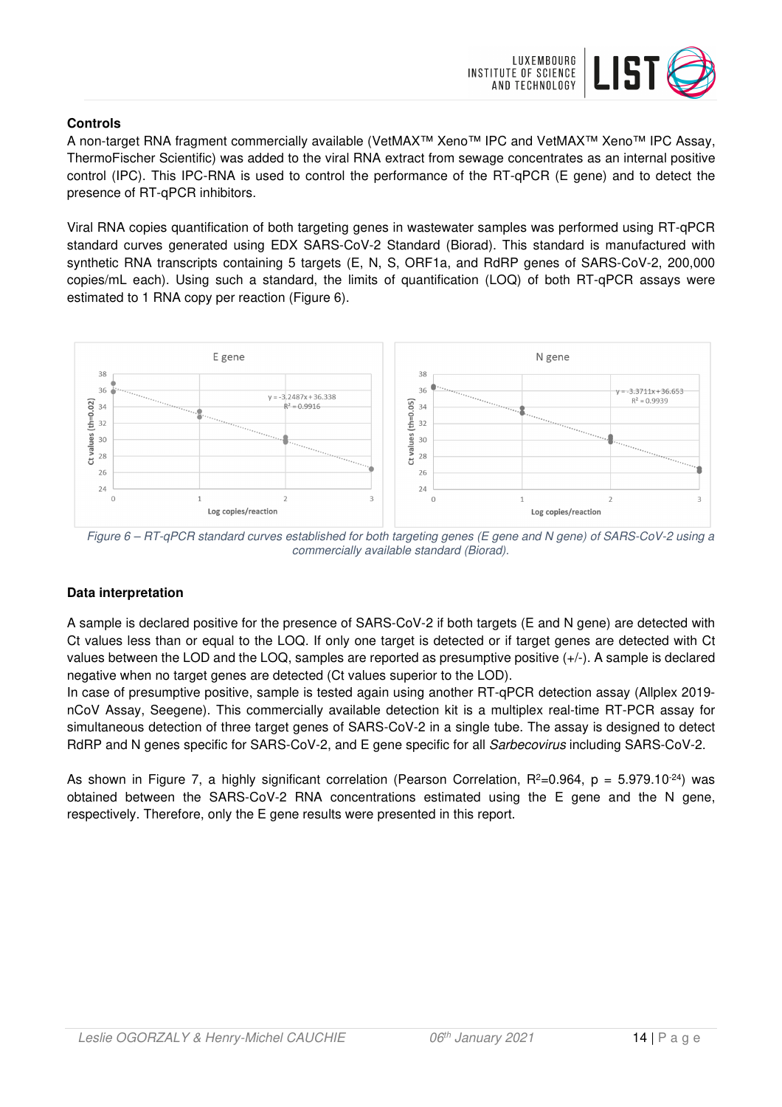

# **Controls**

A non-target RNA fragment commercially available (VetMAX™ Xeno™ IPC and VetMAX™ Xeno™ IPC Assay, ThermoFischer Scientific) was added to the viral RNA extract from sewage concentrates as an internal positive control (IPC). This IPC-RNA is used to control the performance of the RT-qPCR (E gene) and to detect the presence of RT-qPCR inhibitors.

Viral RNA copies quantification of both targeting genes in wastewater samples was performed using RT-qPCR standard curves generated using EDX SARS-CoV-2 Standard (Biorad). This standard is manufactured with synthetic RNA transcripts containing 5 targets (E, N, S, ORF1a, and RdRP genes of SARS-CoV-2, 200,000 copies/mL each). Using such a standard, the limits of quantification (LOQ) of both RT-qPCR assays were estimated to 1 RNA copy per reaction (Figure 6).



Figure 6 – RT-qPCR standard curves established for both targeting genes (E gene and N gene) of SARS-CoV-2 using a commercially available standard (Biorad).

# **Data interpretation**

A sample is declared positive for the presence of SARS-CoV-2 if both targets (E and N gene) are detected with Ct values less than or equal to the LOQ. If only one target is detected or if target genes are detected with Ct values between the LOD and the LOQ, samples are reported as presumptive positive (+/-). A sample is declared negative when no target genes are detected (Ct values superior to the LOD).

In case of presumptive positive, sample is tested again using another RT-qPCR detection assay (Allplex 2019 nCoV Assay, Seegene). This commercially available detection kit is a multiplex real-time RT-PCR assay for simultaneous detection of three target genes of SARS-CoV-2 in a single tube. The assay is designed to detect RdRP and N genes specific for SARS-CoV-2, and E gene specific for all Sarbecovirus including SARS-CoV-2.

As shown in Figure 7, a highly significant correlation (Pearson Correlation,  $R^2=0.964$ ,  $p = 5.979.10^{-24}$ ) was obtained between the SARS-CoV-2 RNA concentrations estimated using the E gene and the N gene, respectively. Therefore, only the E gene results were presented in this report.